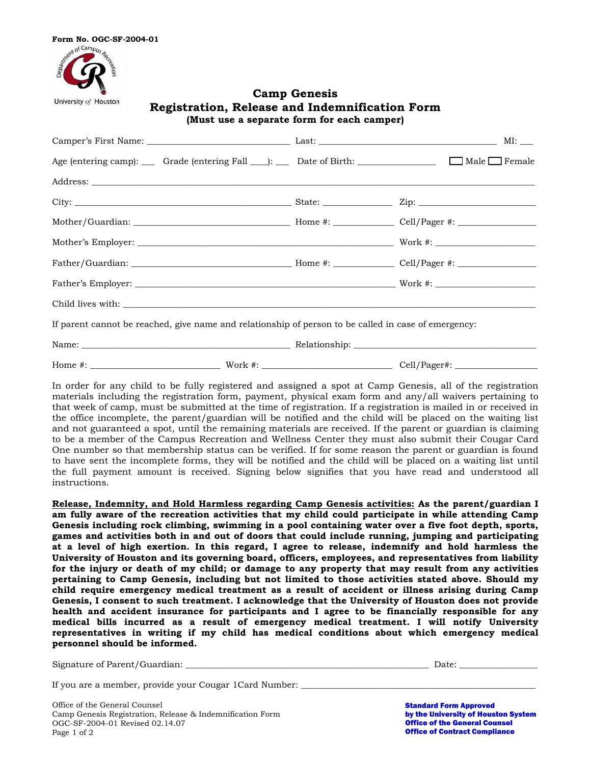

# **Camp Genesis Registration, Release and Indemnification Form (Must use a separate form for each camper)**

| Age (entering camp): $\Box$ Grade (entering Fall $\Box$ ): $\Box$ Date of Birth: $\Box$ $\Box$ $\Box$ Male $\Box$ Female |                                                                                                                                                                                                                                       |  |
|--------------------------------------------------------------------------------------------------------------------------|---------------------------------------------------------------------------------------------------------------------------------------------------------------------------------------------------------------------------------------|--|
|                                                                                                                          |                                                                                                                                                                                                                                       |  |
|                                                                                                                          |                                                                                                                                                                                                                                       |  |
|                                                                                                                          |                                                                                                                                                                                                                                       |  |
|                                                                                                                          |                                                                                                                                                                                                                                       |  |
|                                                                                                                          |                                                                                                                                                                                                                                       |  |
|                                                                                                                          |                                                                                                                                                                                                                                       |  |
|                                                                                                                          |                                                                                                                                                                                                                                       |  |
| If parent cannot be reached, give name and relationship of person to be called in case of emergency:                     |                                                                                                                                                                                                                                       |  |
|                                                                                                                          | $\blacksquare$ . The set of the set of the set of the set of the set of the set of the set of the set of the set of the set of the set of the set of the set of the set of the set of the set of the set of the set of the set of the |  |

| Name:   | Relationship: |             |
|---------|---------------|-------------|
| Home #: | Work #:       | Cell/Pager# |

In order for any child to be fully registered and assigned a spot at Camp Genesis, all of the registration materials including the registration form, payment, physical exam form and any/all waivers pertaining to that week of camp, must be submitted at the time of registration. If a registration is mailed in or received in the office incomplete, the parent/guardian will be notified and the child will be placed on the waiting list and not guaranteed a spot, until the remaining materials are received. If the parent or guardian is claiming to be a member of the Campus Recreation and Wellness Center they must also submit their Cougar Card One number so that membership status can be verified. If for some reason the parent or guardian is found to have sent the incomplete forms, they will be notified and the child will be placed on a waiting list until the full payment amount is received. Signing below signifies that you have read and understood all instructions.

**Release, Indemnity, and Hold Harmless regarding Camp Genesis activities: As the parent/guardian I am fully aware of the recreation activities that my child could participate in while attending Camp Genesis including rock climbing, swimming in a pool containing water over a five foot depth, sports, games and activities both in and out of doors that could include running, jumping and participating at a level of high exertion. In this regard, I agree to release, indemnify and hold harmless the University of Houston and its governing board, officers, employees, and representatives from liability for the injury or death of my child; or damage to any property that may result from any activities pertaining to Camp Genesis, including but not limited to those activities stated above. Should my child require emergency medical treatment as a result of accident or illness arising during Camp Genesis, I consent to such treatment. I acknowledge that the University of Houston does not provide health and accident insurance for participants and I agree to be financially responsible for any medical bills incurred as a result of emergency medical treatment. I will notify University representatives in writing if my child has medical conditions about which emergency medical personnel should be informed.**

Signature of Parent/Guardian: \_\_\_\_\_\_\_\_\_\_\_\_\_\_\_\_\_\_\_\_\_\_\_\_\_\_\_\_\_\_\_\_\_\_\_\_\_\_\_\_\_\_\_\_\_\_\_\_\_\_\_\_\_\_\_\_ Date: \_\_\_\_\_\_\_\_\_\_\_\_\_\_\_\_\_\_ If you are a member, provide your Cougar 1Card Number: \_\_\_\_\_\_\_\_\_\_\_\_\_\_\_\_\_\_\_\_\_\_\_\_\_

Standard Form Approved by the University of Houston System Office of the General Counsel Office of Contract Compliance